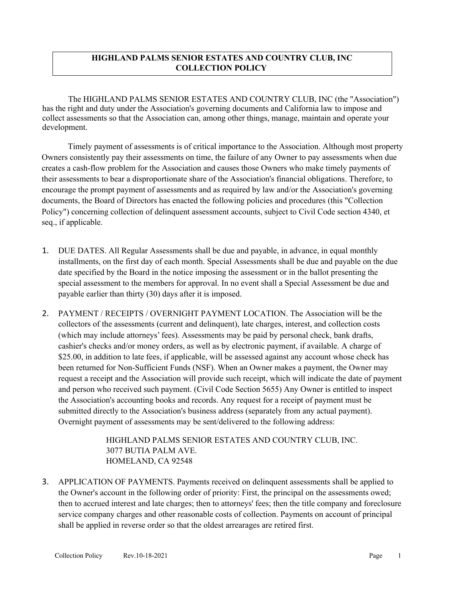## **HIGHLAND PALMS SENIOR ESTATES AND COUNTRY CLUB, INC COLLECTION POLICY**

The HIGHLAND PALMS SENIOR ESTATES AND COUNTRY CLUB, INC (the "Association") has the right and duty under the Association's governing documents and California law to impose and collect assessments so that the Association can, among other things, manage, maintain and operate your development.

Timely payment of assessments is of critical importance to the Association. Although most property Owners consistently pay their assessments on time, the failure of any Owner to pay assessments when due creates a cash-flow problem for the Association and causes those Owners who make timely payments of their assessments to bear a disproportionate share of the Association's financial obligations. Therefore, to encourage the prompt payment of assessments and as required by law and/or the Association's governing documents, the Board of Directors has enacted the following policies and procedures (this "Collection Policy") concerning collection of delinquent assessment accounts, subject to Civil Code section 4340, et seq., if applicable.

- 1. DUE DATES. All Regular Assessments shall be due and payable, in advance, in equal monthly installments, on the first day of each month. Special Assessments shall be due and payable on the due date specified by the Board in the notice imposing the assessment or in the ballot presenting the special assessment to the members for approval. In no event shall a Special Assessment be due and payable earlier than thirty (30) days after it is imposed.
- 2. PAYMENT / RECEIPTS / OVERNIGHT PAYMENT LOCATION. The Association will be the collectors of the assessments (current and delinquent), late charges, interest, and collection costs (which may include attorneys'fees). Assessments may be paid by personal check, bank drafts, cashier's checks and/or money orders, as well as by electronic payment, if available. A charge of \$25.00, in addition to late fees, if applicable, will be assessed against any account whose check has been returned for Non-Sufficient Funds (NSF). When an Owner makes a payment, the Owner may request a receipt and the Association will provide such receipt, which will indicate the date of payment and person who received such payment. (Civil Code Section 5655) Any Owner is entitled to inspect the Association's accounting books and records. Any request for a receipt of payment must be submitted directly to the Association's business address (separately from any actual payment). Overnight payment of assessments may be sent/delivered to the following address:

HIGHLAND PALMS SENIOR ESTATES AND COUNTRY CLUB, INC. 3077 BUTIA PALM AVE. HOMELAND, CA 92548

3. APPLICATION OF PAYMENTS. Payments received on delinquent assessments shall be applied to the Owner's account in the following order of priority: First, the principal on the assessments owed; then to accrued interest and late charges; then to attorneys' fees; then the title company and foreclosure service company charges and other reasonable costs of collection. Payments on account of principal shall be applied in reverse order so that the oldest arrearages are retired first.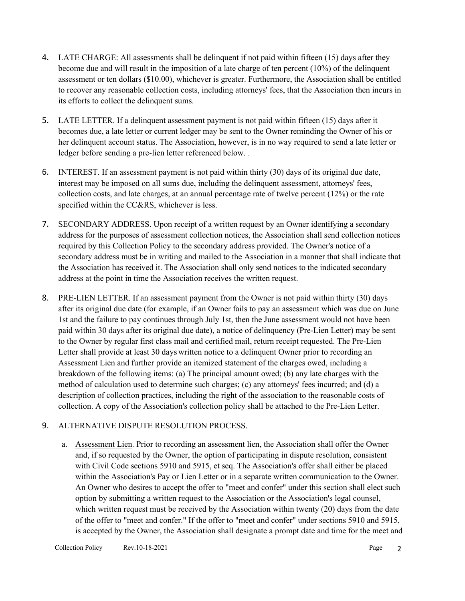- 4. LATE CHARGE: All assessments shall be delinquent if not paid within fifteen (15) days after they become due and will result in the imposition of a late charge of ten percent (10%) of the delinquent assessment or ten dollars (\$10.00), whichever is greater. Furthermore, the Association shall be entitled to recover any reasonable collection costs, including attorneys' fees, that the Association then incurs in its efforts to collect the delinquent sums.
- 5. LATE LETTER. If a delinquent assessment payment is not paid within fifteen (15) days after it becomes due, a late letter or current ledger may be sent to the Owner reminding the Owner of his or her delinquent account status. The Association, however, is in no way required to send a late letter or ledger before sending a pre-lien letter referenced below.
- 6. INTEREST. If an assessment payment is not paid within thirty (30) days of its original due date, interest may be imposed on all sums due, including the delinquent assessment, attorneys' fees, collection costs, and late charges, at an annual percentage rate of twelve percent (12%) or the rate specified within the CC&RS, whichever is less.
- 7. SECONDARY ADDRESS. Upon receipt of a written request by an Owner identifying a secondary address for the purposes of assessment collection notices, the Association shall send collection notices required by this Collection Policy to the secondary address provided. The Owner's notice of a secondary address must be in writing and mailed to the Association in a manner that shall indicate that the Association has received it. The Association shall only send notices to the indicated secondary address at the point in time the Association receives the written request.
- 8. PRE-LIEN LETTER. If an assessment payment from the Owner is not paid within thirty (30) days after its original due date (for example, if an Owner fails to pay an assessment which was due on June 1st and the failure to pay continues through July 1st, then the June assessment would not have been paid within 30 days after its original due date), a notice of delinquency (Pre-Lien Letter) may be sent to the Owner by regular first class mail and certified mail, return receipt requested. The Pre-Lien Letter shall provide at least 30 days written notice to a delinquent Owner prior to recording an Assessment Lien and further provide an itemized statement of the charges owed, including a breakdown of the following items: (a) The principal amount owed; (b) any late charges with the method of calculation used to determine such charges; (c) any attorneys' fees incurred; and (d) a description of collection practices, including the right of the association to the reasonable costs of collection. A copy of the Association's collection policy shall be attached to the Pre-Lien Letter.

## 9. ALTERNATIVE DISPUTE RESOLUTION PROCESS.

a. Assessment Lien. Prior to recording an assessment lien, the Association shall offer the Owner and, if so requested by the Owner, the option of participating in dispute resolution, consistent with Civil Code sections 5910 and 5915, et seq. The Association's offer shall either be placed within the Association's Pay or Lien Letter or in a separate written communication to the Owner. An Owner who desires to accept the offer to "meet and confer" under this section shall elect such option by submitting a written request to the Association or the Association's legal counsel, which written request must be received by the Association within twenty (20) days from the date of the offer to "meet and confer." If the offer to "meet and confer" under sections 5910 and 5915, is accepted by the Owner, the Association shall designate a prompt date and time for the meet and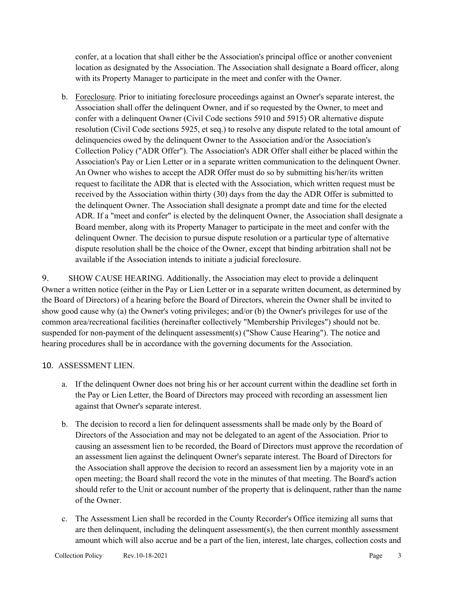confer, at a location that shall either be the Association's principal office or another convenient location as designated by the Association. The Association shall designate a Board officer, along with its Property Manager to participate in the meet and confer with the Owner.

b. Foreclosure. Prior to initiating foreclosure proceedings against an Owner's separate interest, the Association shall offer the delinquent Owner, and if so requested by the Owner, to meet and confer with a delinquent Owner (Civil Code sections 5910 and 5915) OR alternative dispute resolution (Civil Code sections 5925, et seq.) to resolve any dispute related to the total amount of delinquencies owed by the delinquent Owner to the Association and/or the Association's Collection Policy ("ADR Offer"). The Association's ADR Offer shall either be placed within the Association's Pay or Lien Letter or in a separate written communication to the delinquent Owner. An Owner who wishes to accept the ADR Offer must do so by submitting his/her/its written request to facilitate the ADR that is elected with the Association, which written request must be received by the Association within thirty (30) days from the day the ADR Offer is submitted to the delinquent Owner. The Association shall designate a prompt date and time for the elected ADR. If a "meet and confer" is elected by the delinquent Owner, the Association shall designate a Board member, along with its Property Manager to participate in the meet and confer with the delinquent Owner. The decision to pursue dispute resolution or a particular type of alternative dispute resolution shall be the choice of the Owner, except that binding arbitration shall not be available if the Association intends to initiate a judicial foreclosure.

9. SHOW CAUSE HEARING. Additionally, the Association may elect to provide a delinquent Owner a written notice (either in the Pay or Lien Letter or in a separate written document, as determined by the Board of Directors) of a hearing before the Board of Directors, wherein the Owner shall be invited to show good cause why (a) the Owner's voting privileges; and/or (b) the Owner's privileges for use of the common area/recreational facilities (hereinafter collectively "Membership Privileges") should not be. suspended for non-payment of the delinquent assessment(s) ("Show Cause Hearing"). The notice and hearing procedures shall be in accordance with the governing documents for the Association.

## 10. ASSESSMENT LIEN.

- a. If the delinquent Owner does not bring his or her account current within the deadline set forth in the Pay or Lien Letter, the Board of Directors may proceed with recording an assessment lien against that Owner's separate interest.
- b. The decision to record a lien for delinquent assessments shall be made only by the Board of Directors of the Association and may not be delegated to an agent of the Association. Prior to causing an assessment lien to be recorded, the Board of Directors must approve the recordation of an assessment lien against the delinquent Owner's separate interest. The Board of Directors for the Association shall approve the decision to record an assessment lien by a majority vote in an open meeting; the Board shall record the vote in the minutes of that meeting. The Board's action should refer to the Unit or account number of the property that is delinquent, rather than the name of the Owner.
- c. The Assessment Lien shall be recorded in the County Recorder's Office itemizing all sums that are then delinquent, including the delinquent assessment(s), the then current monthly assessment amount which will also accrue and be a part of the lien, interest, late charges, collection costs and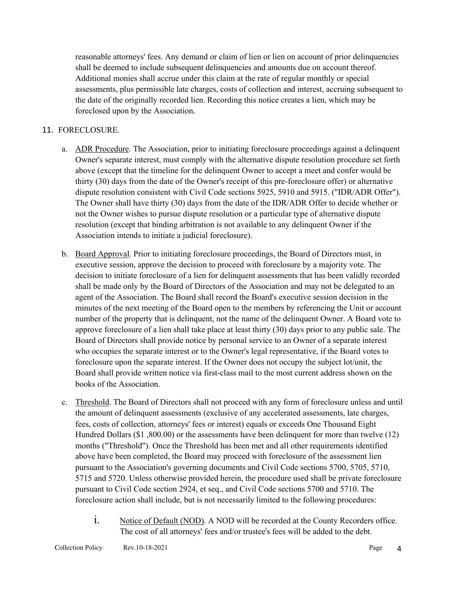reasonable attorneys' fees. Any demand or claim of lien or lien on account of prior delinquencies shall be deemed to include subsequent delinquencies and amounts due on account thereof. Additional monies shall accrue under this claim at the rate of regular monthly or special assessments, plus permissible late charges, costs of collection and interest, accruing subsequent to the date of the originally recorded lien. Recording this notice creates a lien, which may be foreclosed upon by the Association.

### 11. FORECLOSURE.

- a. ADR Procedure. The Association, prior to initiating foreclosure proceedings against a delinquent Owner's separate interest, must comply with the alternative dispute resolution procedure set forth above (except that the timeline for the delinquent Owner to accept a meet and confer would be thirty (30) days from the date of the Owner's receipt of this pre-foreclosure offer) or alternative dispute resolution consistent with Civil Code sections 5925, 5910 and 5915. ("IDR/ADR Offer"). The Owner shall have thirty (30) days from the date of the IDR/ADR Offer to decide whether or not the Owner wishes to pursue dispute resolution or a particular type of alternative dispute resolution (except that binding arbitration is not available to any delinquent Owner if the Association intends to initiate a judicial foreclosure).
- b. Board Approval. Prior to initiating foreclosure proceedings, the Board of Directors must, in executive session, approve the decision to proceed with foreclosure by a majority vote. The decision to initiate foreclosure of a lien for delinquent assessments that has been validly recorded shall be made only by the Board of Directors of the Association and may not be delegated to an agent of the Association. The Board shall record the Board's executive session decision in the minutes of the next meeting of the Board open to the members by referencing the Unit or account number of the property that is delinquent, not the name of the delinquent Owner. A Board vote to approve foreclosure of a lien shall take place at least thirty (30) days prior to any public sale. The Board of Directors shall provide notice by personal service to an Owner of a separate interest who occupies the separate interest or to the Owner's legal representative, if the Board votes to foreclosure upon the separate interest. If the Owner does not occupy the subject lot/unit, the Board shall provide written notice via first-class mail to the most current address shown on the books of the Association.
- c. Threshold. The Board of Directors shall not proceed with any form of foreclosure unless and until the amount of delinquent assessments (exclusive of any accelerated assessments, late charges, fees, costs of collection, attorneys' fees or interest) equals or exceeds One Thousand Eight Hundred Dollars (\$1 ,800.00) or the assessments have been delinquent for more than twelve (12) months ("Threshold"). Once the Threshold has been met and all other requirements identified above have been completed, the Board may proceed with foreclosure of the assessment lien pursuant to the Association's governing documents and Civil Code sections 5700, 5705, 5710, 5715 and 5720. Unless otherwise provided herein, the procedure used shall be private foreclosure pursuant to Civil Code section 2924, et seq., and Civil Code sections 5700 and 5710. The foreclosure action shall include, but is not necessarily limited to the following procedures:
	- i. Notice of Default (NOD). A NOD will be recorded at the County Recorders office. The cost of all attorneys' fees and/or trustee's fees will be added to the debt.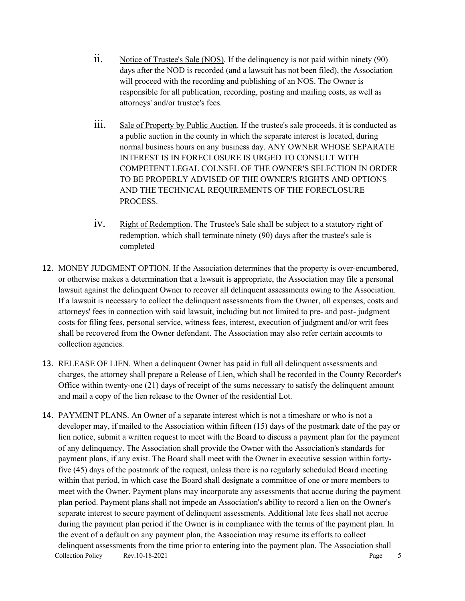- $\ddot{i}$ . Notice of Trustee's Sale (NOS). If the delinguency is not paid within ninety (90) days after the NOD is recorded (and a lawsuit has not been filed), the Association will proceed with the recording and publishing of an NOS. The Owner is responsible for all publication, recording, posting and mailing costs, as well as attorneys' and/or trustee's fees.
- iii. Sale of Property by Public Auction. If the trustee's sale proceeds, it is conducted as a public auction in the county in which the separate interest is located, during normal business hours on any business day. ANY OWNER WHOSE SEPARATE INTEREST IS IN FORECLOSURE IS URGED TO CONSULT WITH COMPETENT LEGAL COLNSEL OF THE OWNER'S SELECTION IN ORDER TO BE PROPERLY ADVISED OF THE OWNER'S RIGHTS AND OPTIONS AND THE TECHNICAL REQUIREMENTS OF THE FORECLOSURE PROCESS.
- iv. Right of Redemption. The Trustee's Sale shall be subject to a statutory right of redemption, which shall terminate ninety (90) days after the trustee's sale is completed
- 12. MONEY JUDGMENT OPTION. If the Association determines that the property is over-encumbered, or otherwise makes a determination that a lawsuit is appropriate, the Association may file a personal lawsuit against the delinquent Owner to recover all delinquent assessments owing to the Association. If a lawsuit is necessary to collect the delinquent assessments from the Owner, all expenses, costs and attorneys' fees in connection with said lawsuit, including but not limited to pre- and post- judgment costs for filing fees, personal service, witness fees, interest, execution of judgment and/or writ fees shall be recovered from the Owner defendant. The Association may also refer certain accounts to collection agencies.
- 13. RELEASE OF LIEN. When a delinquent Owner has paid in full all delinquent assessments and charges, the attorney shall prepare a Release of Lien, which shall be recorded in the County Recorder's Office within twenty-one (21) days of receipt of the sums necessary to satisfy the delinquent amount and mail a copy of the lien release to the Owner of the residential Lot.
- Collection Policy Rev.10-18-2021 Page 5 14. PAYMENT PLANS. An Owner of a separate interest which is not a timeshare or who is not a developer may, if mailed to the Association within fifteen (15) days of the postmark date of the pay or lien notice, submit a written request to meet with the Board to discuss a payment plan for the payment of any delinquency. The Association shall provide the Owner with the Association's standards for payment plans, if any exist. The Board shall meet with the Owner in executive session within fortyfive (45) days of the postmark of the request, unless there is no regularly scheduled Board meeting within that period, in which case the Board shall designate a committee of one or more members to meet with the Owner. Payment plans may incorporate any assessments that accrue during the payment plan period. Payment plans shall not impede an Association's ability to record a lien on the Owner's separate interest to secure payment of delinquent assessments. Additional late fees shall not accrue during the payment plan period if the Owner is in compliance with the terms of the payment plan. In the event of a default on any payment plan, the Association may resume its efforts to collect delinquent assessments from the time prior to entering into the payment plan. The Association shall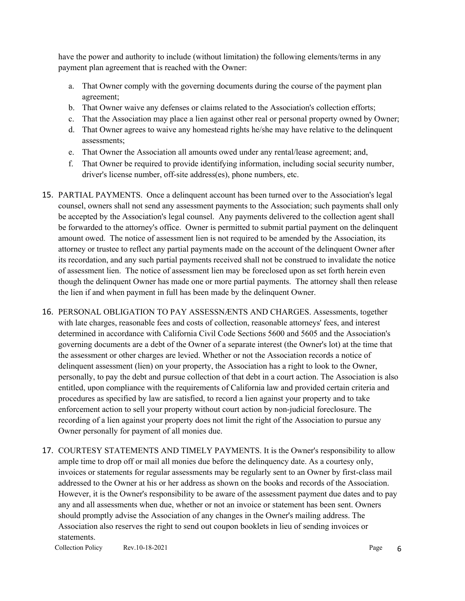have the power and authority to include (without limitation) the following elements/terms in any payment plan agreement that is reached with the Owner:

- a. That Owner comply with the governing documents during the course of the payment plan agreement;
- b. That Owner waive any defenses or claims related to the Association's collection efforts;
- c. That the Association may place a lien against other real or personal property owned by Owner;
- d. That Owner agrees to waive any homestead rights he/she may have relative to the delinquent assessments;
- e. That Owner the Association all amounts owed under any rental/lease agreement; and,
- f. That Owner be required to provide identifying information, including social security number, driver's license number, off-site address(es), phone numbers, etc.
- 15. PARTIAL PAYMENTS. Once a delinquent account has been turned over to the Association's legal counsel, owners shall not send any assessment payments to the Association; such payments shall only be accepted by the Association's legal counsel. Any payments delivered to the collection agent shall be forwarded to the attorney's office. Owner is permitted to submit partial payment on the delinquent amount owed. The notice of assessment lien is not required to be amended by the Association, its attorney or trustee to reflect any partial payments made on the account of the delinquent Owner after its recordation, and any such partial payments received shall not be construed to invalidate the notice of assessment lien. The notice of assessment lien may be foreclosed upon as set forth herein even though the delinquent Owner has made one or more partial payments. The attorney shall then release the lien if and when payment in full has been made by the delinquent Owner.
- 16. PERSONAL OBLIGATION TO PAY ASSESSNÆNTS AND CHARGES. Assessments, together with late charges, reasonable fees and costs of collection, reasonable attorneys' fees, and interest determined in accordance with California Civil Code Sections 5600 and 5605 and the Association's governing documents are a debt of the Owner of a separate interest (the Owner's lot) at the time that the assessment or other charges are levied. Whether or not the Association records a notice of delinquent assessment (lien) on your property, the Association has a right to look to the Owner, personally, to pay the debt and pursue collection of that debt in a court action. The Association is also entitled, upon compliance with the requirements of California law and provided certain criteria and procedures as specified by law are satisfied, to record a lien against your property and to take enforcement action to sell your property without court action by non-judicial foreclosure. The recording of a lien against your property does not limit the right of the Association to pursue any Owner personally for payment of all monies due.
- 17. COURTESY STATEMENTS AND TIMELY PAYMENTS. It is the Owner's responsibility to allow ample time to drop off or mail all monies due before the delinquency date. As a courtesy only, invoices or statements for regular assessments may be regularly sent to an Owner by first-class mail addressed to the Owner at his or her address as shown on the books and records of the Association. However, it is the Owner's responsibility to be aware of the assessment payment due dates and to pay any and all assessments when due, whether or not an invoice or statement has been sent. Owners should promptly advise the Association of any changes in the Owner's mailing address. The Association also reserves the right to send out coupon booklets in lieu of sending invoices or statements.

Collection Policy Rev.10-18-2021  $Page \t 6$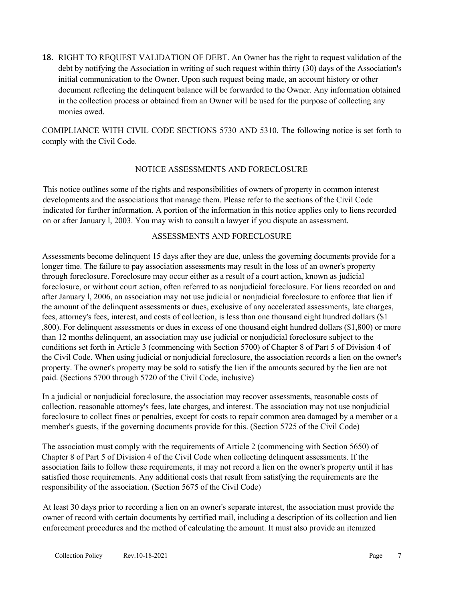18. RIGHT TO REQUEST VALIDATION OF DEBT. An Owner has the right to request validation of the debt by notifying the Association in writing of such request within thirty (30) days of the Association's initial communication to the Owner. Upon such request being made, an account history or other document reflecting the delinquent balance will be forwarded to the Owner. Any information obtained in the collection process or obtained from an Owner will be used for the purpose of collecting any monies owed.

COMIPLIANCE WITH CIVIL CODE SECTIONS 5730 AND 5310. The following notice is set forth to comply with the Civil Code.

### NOTICE ASSESSMENTS AND FORECLOSURE

This notice outlines some of the rights and responsibilities of owners of property in common interest developments and the associations that manage them. Please refer to the sections of the Civil Code indicated for further information. A portion of the information in this notice applies only to liens recorded on or after January l, 2003. You may wish to consult a lawyer if you dispute an assessment.

#### ASSESSMENTS AND FORECLOSURE

Assessments become delinquent 15 days after they are due, unless the governing documents provide for a longer time. The failure to pay association assessments may result in the loss of an owner's property through foreclosure. Foreclosure may occur either as a result of a court action, known as judicial foreclosure, or without court action, often referred to as nonjudicial foreclosure. For liens recorded on and after January l, 2006, an association may not use judicial or nonjudicial foreclosure to enforce that lien if the amount of the delinquent assessments or dues, exclusive of any accelerated assessments, late charges, fees, attorney's fees, interest, and costs of collection, is less than one thousand eight hundred dollars (\$1 ,800). For delinquent assessments or dues in excess of one thousand eight hundred dollars (\$1,800) or more than 12 months delinquent, an association may use judicial or nonjudicial foreclosure subject to the conditions set forth in Article 3 (commencing with Section 5700) of Chapter 8 of Part 5 of Division 4 of the Civil Code. When using judicial or nonjudicial foreclosure, the association records a lien on the owner's property. The owner's property may be sold to satisfy the lien if the amounts secured by the lien are not paid. (Sections 5700 through 5720 of the Civil Code, inclusive)

In a judicial or nonjudicial foreclosure, the association may recover assessments, reasonable costs of collection, reasonable attorney's fees, late charges, and interest. The association may not use nonjudicial foreclosure to collect fines or penalties, except for costs to repair common area damaged by a member or a member's guests, if the governing documents provide for this. (Section 5725 of the Civil Code)

The association must comply with the requirements of Article 2 (commencing with Section 5650) of Chapter 8 of Part 5 of Division 4 of the Civil Code when collecting delinquent assessments. If the association fails to follow these requirements, it may not record a lien on the owner's property until it has satisfied those requirements. Any additional costs that result from satisfying the requirements are the responsibility of the association. (Section 5675 of the Civil Code)

At least 30 days prior to recording a lien on an owner's separate interest, the association must provide the owner of record with certain documents by certified mail, including a description of its collection and lien enforcement procedures and the method of calculating the amount. It must also provide an itemized